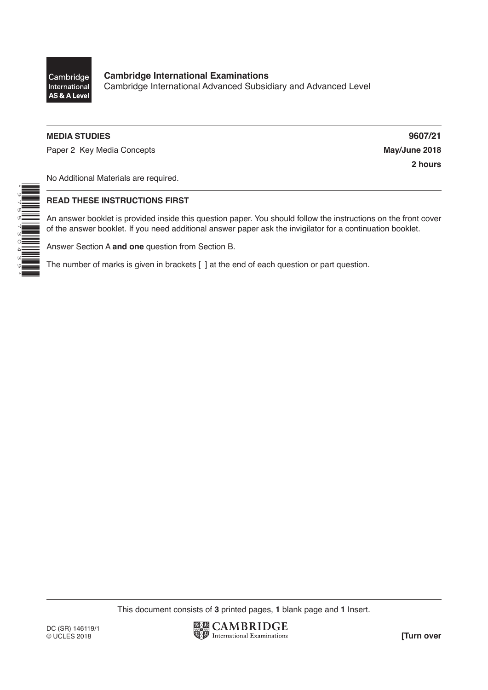

\*9755730439\*

## **MEDIA STUDIES 9607/21**

Paper 2 Key Media Concepts **May/June 2018** 

**2 hours**

No Additional Materials are required.

### **READ THESE INSTRUCTIONS FIRST**

An answer booklet is provided inside this question paper. You should follow the instructions on the front cover of the answer booklet. If you need additional answer paper ask the invigilator for a continuation booklet.

Answer Section A **and one** question from Section B.

The number of marks is given in brackets [ ] at the end of each question or part question.

This document consists of **3** printed pages, **1** blank page and **1** Insert.

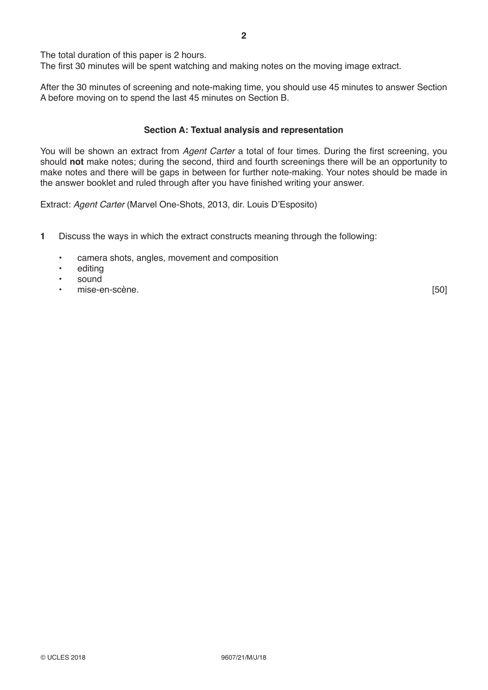The total duration of this paper is 2 hours.

The first 30 minutes will be spent watching and making notes on the moving image extract.

After the 30 minutes of screening and note-making time, you should use 45 minutes to answer Section A before moving on to spend the last 45 minutes on Section B.

## **Section A: Textual analysis and representation**

You will be shown an extract from *Agent Carter* a total of four times. During the first screening, you should **not** make notes; during the second, third and fourth screenings there will be an opportunity to make notes and there will be gaps in between for further note-making. Your notes should be made in the answer booklet and ruled through after you have finished writing your answer.

Extract: *Agent Carter* (Marvel One-Shots, 2013, dir. Louis D'Esposito)

- **1** Discuss the ways in which the extract constructs meaning through the following:
	- camera shots, angles, movement and composition
	- editing
	- sound
	- en-scène. [50]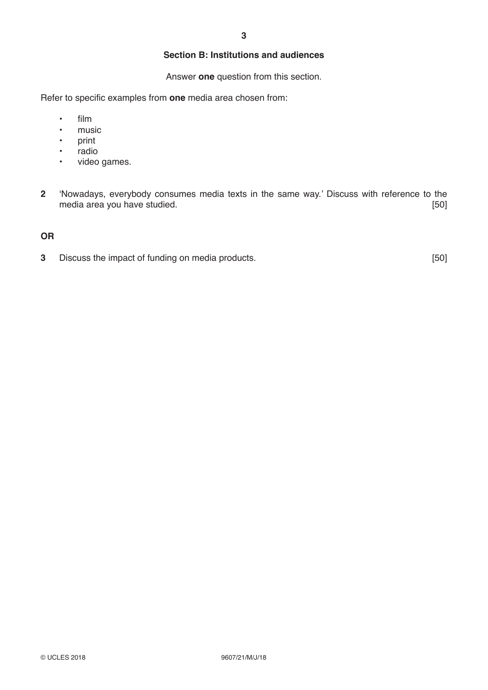# **Section B: Institutions and audiences**

Answer **one** question from this section.

Refer to specific examples from **one** media area chosen from:

- $\frac{1}{2}$  film
- music<br>• print
- print<br>• radio
- radio<br>• video
- video games.
- **2** 'Nowadays, everybody consumes media texts in the same way.' Discuss with reference to the media area you have studied. **Example 2018** 1991 1992 1993

# **OR**

**3** Discuss the impact of funding on media products. **1998 1998** [50]